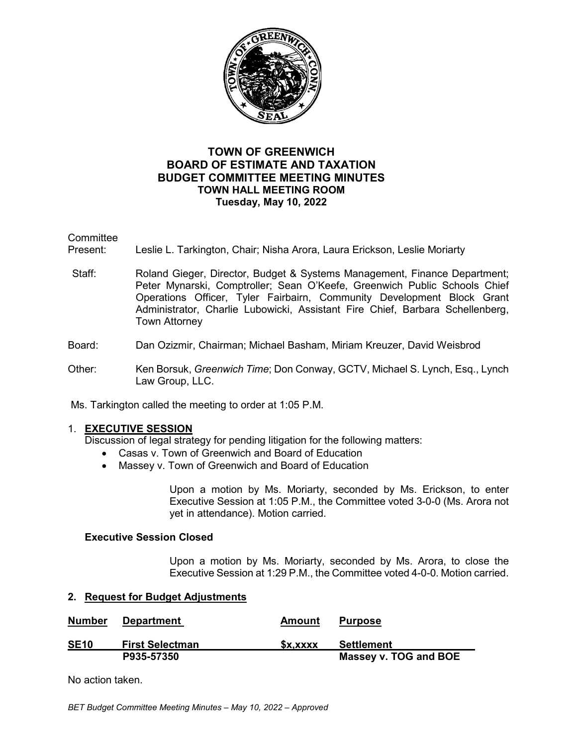

# **TOWN OF GREENWICH BOARD OF ESTIMATE AND TAXATION BUDGET COMMITTEE MEETING MINUTES TOWN HALL MEETING ROOM Tuesday, May 10, 2022**

**Committee** 

Present: Leslie L. Tarkington, Chair; Nisha Arora, Laura Erickson, Leslie Moriarty

Staff: Roland Gieger, Director, Budget & Systems Management, Finance Department; Peter Mynarski, Comptroller; Sean O'Keefe, Greenwich Public Schools Chief Operations Officer, Tyler Fairbairn, Community Development Block Grant Administrator, Charlie Lubowicki, Assistant Fire Chief, Barbara Schellenberg, Town Attorney

# Board: Dan Ozizmir, Chairman; Michael Basham, Miriam Kreuzer, David Weisbrod

Other: Ken Borsuk, *Greenwich Time*; Don Conway, GCTV, Michael S. Lynch, Esq., Lynch Law Group, LLC.

Ms. Tarkington called the meeting to order at 1:05 P.M.

### 1. **EXECUTIVE SESSION**

Discussion of legal strategy for pending litigation for the following matters:

- Casas v. Town of Greenwich and Board of Education
- Massey v. Town of Greenwich and Board of Education

Upon a motion by Ms. Moriarty, seconded by Ms. Erickson, to enter Executive Session at 1:05 P.M., the Committee voted 3-0-0 (Ms. Arora not yet in attendance). Motion carried.

### **Executive Session Closed**

Upon a motion by Ms. Moriarty, seconded by Ms. Arora, to close the Executive Session at 1:29 P.M., the Committee voted 4-0-0. Motion carried.

### **2. Request for Budget Adjustments**

| <b>Number</b> | <b>Department</b>      | Amount  | <b>Purpose</b>        |
|---------------|------------------------|---------|-----------------------|
| <b>SE10</b>   | <b>First Selectman</b> | SX.XXXX | Settlement            |
|               | P935-57350             |         | Massey v. TOG and BOE |

No action taken.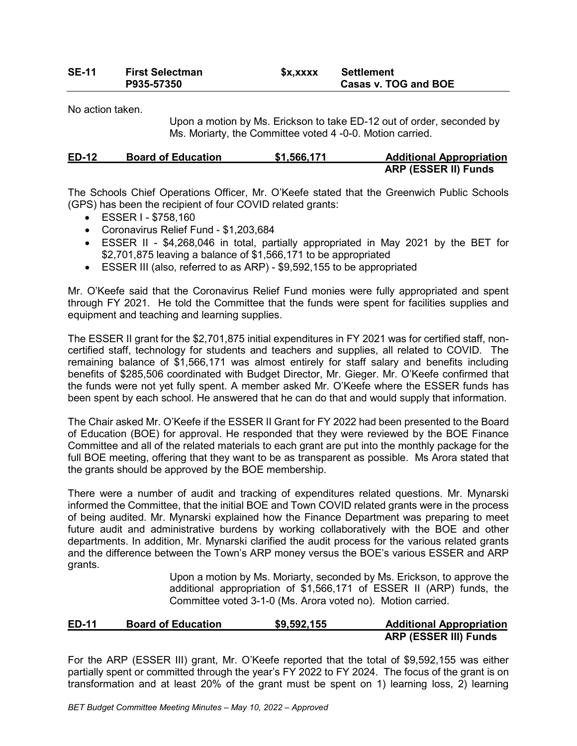# **SE-11 First Selectman \$x,xxxx Settlement Casas v. TOG and BOE**

No action taken.

Upon a motion by Ms. Erickson to take ED-12 out of order, seconded by Ms. Moriarty, the Committee voted 4 -0-0. Motion carried.

| <b>ED-12</b> | <b>Board of Education</b> | \$1,566,171 | <b>Additional Appropriation</b> |
|--------------|---------------------------|-------------|---------------------------------|
|              |                           |             | <b>ARP (ESSER II) Funds</b>     |

The Schools Chief Operations Officer, Mr. O'Keefe stated that the Greenwich Public Schools (GPS) has been the recipient of four COVID related grants:

- ESSER I \$758,160
- Coronavirus Relief Fund \$1,203,684
- ESSER II \$4,268,046 in total, partially appropriated in May 2021 by the BET for \$2,701,875 leaving a balance of \$1,566,171 to be appropriated
- ESSER III (also, referred to as ARP) \$9,592,155 to be appropriated

Mr. O'Keefe said that the Coronavirus Relief Fund monies were fully appropriated and spent through FY 2021. He told the Committee that the funds were spent for facilities supplies and equipment and teaching and learning supplies.

The ESSER II grant for the \$2,701,875 initial expenditures in FY 2021 was for certified staff, noncertified staff, technology for students and teachers and supplies, all related to COVID. The remaining balance of \$1,566,171 was almost entirely for staff salary and benefits including benefits of \$285,506 coordinated with Budget Director, Mr. Gieger. Mr. O'Keefe confirmed that the funds were not yet fully spent. A member asked Mr. O'Keefe where the ESSER funds has been spent by each school. He answered that he can do that and would supply that information.

The Chair asked Mr. O'Keefe if the ESSER II Grant for FY 2022 had been presented to the Board of Education (BOE) for approval. He responded that they were reviewed by the BOE Finance Committee and all of the related materials to each grant are put into the monthly package for the full BOE meeting, offering that they want to be as transparent as possible. Ms Arora stated that the grants should be approved by the BOE membership.

There were a number of audit and tracking of expenditures related questions. Mr. Mynarski informed the Committee, that the initial BOE and Town COVID related grants were in the process of being audited. Mr. Mynarski explained how the Finance Department was preparing to meet future audit and administrative burdens by working collaboratively with the BOE and other departments. In addition, Mr. Mynarski clarified the audit process for the various related grants and the difference between the Town's ARP money versus the BOE's various ESSER and ARP grants.

> Upon a motion by Ms. Moriarty, seconded by Ms. Erickson, to approve the additional appropriation of \$1,566,171 of ESSER II (ARP) funds, the Committee voted 3-1-0 (Ms. Arora voted no). Motion carried.

# **ED-11 Board of Education \$9,592,155 Additional Appropriation ARP (ESSER III) Funds**

For the ARP (ESSER III) grant, Mr. O'Keefe reported that the total of \$9,592,155 was either partially spent or committed through the year's FY 2022 to FY 2024. The focus of the grant is on transformation and at least 20% of the grant must be spent on 1) learning loss, 2) learning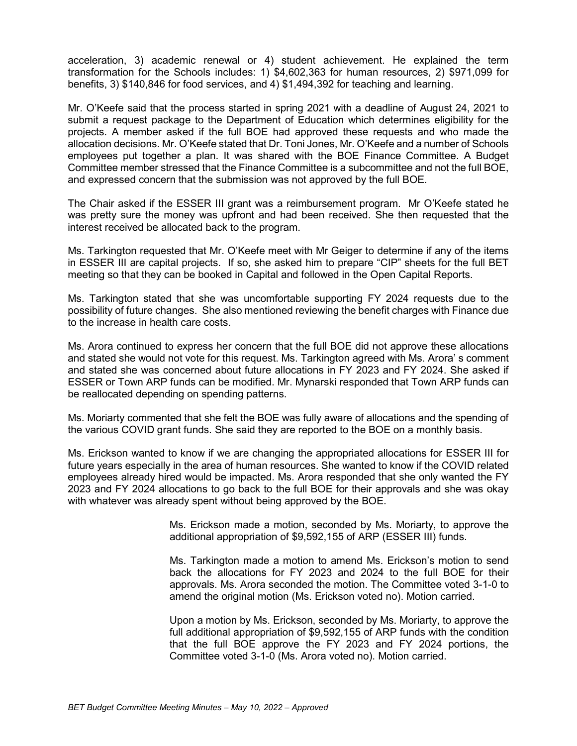acceleration, 3) academic renewal or 4) student achievement. He explained the term transformation for the Schools includes: 1) \$4,602,363 for human resources, 2) \$971,099 for benefits, 3) \$140,846 for food services, and 4) \$1,494,392 for teaching and learning.

Mr. O'Keefe said that the process started in spring 2021 with a deadline of August 24, 2021 to submit a request package to the Department of Education which determines eligibility for the projects. A member asked if the full BOE had approved these requests and who made the allocation decisions. Mr. O'Keefe stated that Dr. Toni Jones, Mr. O'Keefe and a number of Schools employees put together a plan. It was shared with the BOE Finance Committee. A Budget Committee member stressed that the Finance Committee is a subcommittee and not the full BOE, and expressed concern that the submission was not approved by the full BOE.

The Chair asked if the ESSER III grant was a reimbursement program. Mr O'Keefe stated he was pretty sure the money was upfront and had been received. She then requested that the interest received be allocated back to the program.

Ms. Tarkington requested that Mr. O'Keefe meet with Mr Geiger to determine if any of the items in ESSER III are capital projects. If so, she asked him to prepare "CIP" sheets for the full BET meeting so that they can be booked in Capital and followed in the Open Capital Reports.

Ms. Tarkington stated that she was uncomfortable supporting FY 2024 requests due to the possibility of future changes. She also mentioned reviewing the benefit charges with Finance due to the increase in health care costs.

Ms. Arora continued to express her concern that the full BOE did not approve these allocations and stated she would not vote for this request. Ms. Tarkington agreed with Ms. Arora' s comment and stated she was concerned about future allocations in FY 2023 and FY 2024. She asked if ESSER or Town ARP funds can be modified. Mr. Mynarski responded that Town ARP funds can be reallocated depending on spending patterns.

Ms. Moriarty commented that she felt the BOE was fully aware of allocations and the spending of the various COVID grant funds. She said they are reported to the BOE on a monthly basis.

Ms. Erickson wanted to know if we are changing the appropriated allocations for ESSER III for future years especially in the area of human resources. She wanted to know if the COVID related employees already hired would be impacted. Ms. Arora responded that she only wanted the FY 2023 and FY 2024 allocations to go back to the full BOE for their approvals and she was okay with whatever was already spent without being approved by the BOE.

> Ms. Erickson made a motion, seconded by Ms. Moriarty, to approve the additional appropriation of \$9,592,155 of ARP (ESSER III) funds.

> Ms. Tarkington made a motion to amend Ms. Erickson's motion to send back the allocations for FY 2023 and 2024 to the full BOE for their approvals. Ms. Arora seconded the motion. The Committee voted 3-1-0 to amend the original motion (Ms. Erickson voted no). Motion carried.

> Upon a motion by Ms. Erickson, seconded by Ms. Moriarty, to approve the full additional appropriation of \$9,592,155 of ARP funds with the condition that the full BOE approve the FY 2023 and FY 2024 portions, the Committee voted 3-1-0 (Ms. Arora voted no). Motion carried.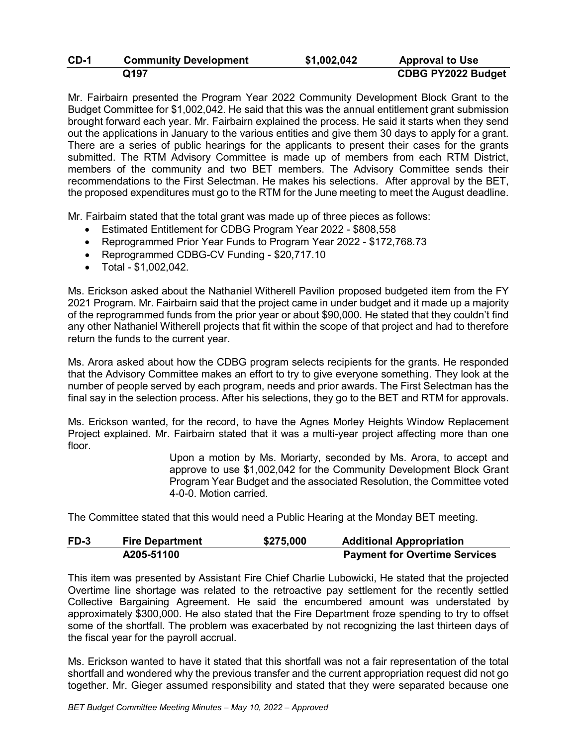| CD-1 | <b>Community Development</b> | \$1,002,042 | <b>Approval to Use</b>    |
|------|------------------------------|-------------|---------------------------|
|      | Q197                         |             | <b>CDBG PY2022 Budget</b> |

Mr. Fairbairn presented the Program Year 2022 Community Development Block Grant to the Budget Committee for \$1,002,042. He said that this was the annual entitlement grant submission brought forward each year. Mr. Fairbairn explained the process. He said it starts when they send out the applications in January to the various entities and give them 30 days to apply for a grant. There are a series of public hearings for the applicants to present their cases for the grants submitted. The RTM Advisory Committee is made up of members from each RTM District, members of the community and two BET members. The Advisory Committee sends their recommendations to the First Selectman. He makes his selections. After approval by the BET, the proposed expenditures must go to the RTM for the June meeting to meet the August deadline.

Mr. Fairbairn stated that the total grant was made up of three pieces as follows:

- Estimated Entitlement for CDBG Program Year 2022 \$808,558
- Reprogrammed Prior Year Funds to Program Year 2022 \$172,768.73
- Reprogrammed CDBG-CV Funding \$20,717.10
- Total \$1,002,042.

Ms. Erickson asked about the Nathaniel Witherell Pavilion proposed budgeted item from the FY 2021 Program. Mr. Fairbairn said that the project came in under budget and it made up a majority of the reprogrammed funds from the prior year or about \$90,000. He stated that they couldn't find any other Nathaniel Witherell projects that fit within the scope of that project and had to therefore return the funds to the current year.

Ms. Arora asked about how the CDBG program selects recipients for the grants. He responded that the Advisory Committee makes an effort to try to give everyone something. They look at the number of people served by each program, needs and prior awards. The First Selectman has the final say in the selection process. After his selections, they go to the BET and RTM for approvals.

Ms. Erickson wanted, for the record, to have the Agnes Morley Heights Window Replacement Project explained. Mr. Fairbairn stated that it was a multi-year project affecting more than one floor.

> Upon a motion by Ms. Moriarty, seconded by Ms. Arora, to accept and approve to use \$1,002,042 for the Community Development Block Grant Program Year Budget and the associated Resolution, the Committee voted 4-0-0. Motion carried.

The Committee stated that this would need a Public Hearing at the Monday BET meeting.

| FD-3 | <b>Fire Department</b> | \$275,000 | <b>Additional Appropriation</b>      |
|------|------------------------|-----------|--------------------------------------|
|      | A205-51100             |           | <b>Payment for Overtime Services</b> |

This item was presented by Assistant Fire Chief Charlie Lubowicki, He stated that the projected Overtime line shortage was related to the retroactive pay settlement for the recently settled Collective Bargaining Agreement. He said the encumbered amount was understated by approximately \$300,000. He also stated that the Fire Department froze spending to try to offset some of the shortfall. The problem was exacerbated by not recognizing the last thirteen days of the fiscal year for the payroll accrual.

Ms. Erickson wanted to have it stated that this shortfall was not a fair representation of the total shortfall and wondered why the previous transfer and the current appropriation request did not go together. Mr. Gieger assumed responsibility and stated that they were separated because one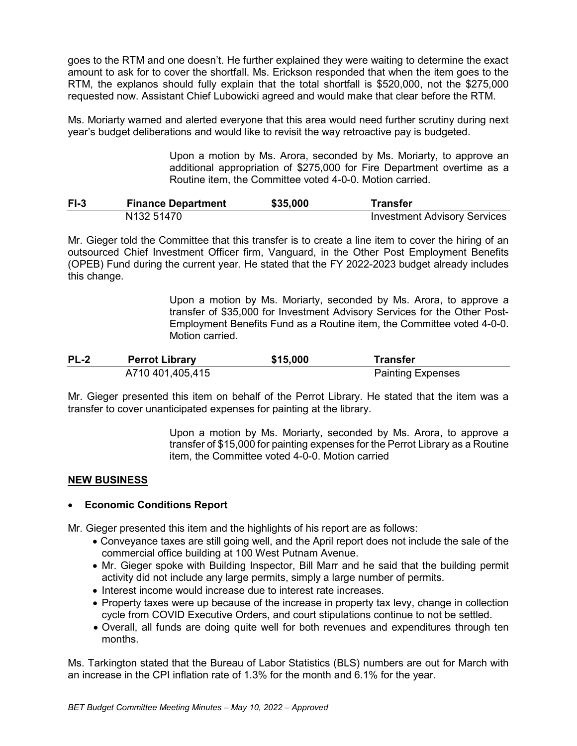goes to the RTM and one doesn't. He further explained they were waiting to determine the exact amount to ask for to cover the shortfall. Ms. Erickson responded that when the item goes to the RTM, the explanos should fully explain that the total shortfall is \$520,000, not the \$275,000 requested now. Assistant Chief Lubowicki agreed and would make that clear before the RTM.

Ms. Moriarty warned and alerted everyone that this area would need further scrutiny during next year's budget deliberations and would like to revisit the way retroactive pay is budgeted.

> Upon a motion by Ms. Arora, seconded by Ms. Moriarty, to approve an additional appropriation of \$275,000 for Fire Department overtime as a Routine item, the Committee voted 4-0-0. Motion carried.

| $F1-3$ | <b>Finance Department</b> | \$35,000 | <b>Transfer</b>                     |
|--------|---------------------------|----------|-------------------------------------|
|        | N <sub>132</sub> 51470    |          | <b>Investment Advisory Services</b> |

Mr. Gieger told the Committee that this transfer is to create a line item to cover the hiring of an outsourced Chief Investment Officer firm, Vanguard, in the Other Post Employment Benefits (OPEB) Fund during the current year. He stated that the FY 2022-2023 budget already includes this change.

> Upon a motion by Ms. Moriarty, seconded by Ms. Arora, to approve a transfer of \$35,000 for Investment Advisory Services for the Other Post-Employment Benefits Fund as a Routine item, the Committee voted 4-0-0. Motion carried.

| <b>PL-2</b> | <b>Perrot Library</b> | \$15,000 | Transfer                 |
|-------------|-----------------------|----------|--------------------------|
|             | A710 401,405,415      |          | <b>Painting Expenses</b> |

Mr. Gieger presented this item on behalf of the Perrot Library. He stated that the item was a transfer to cover unanticipated expenses for painting at the library.

> Upon a motion by Ms. Moriarty, seconded by Ms. Arora, to approve a transfer of \$15,000 for painting expenses for the Perrot Library as a Routine item, the Committee voted 4-0-0. Motion carried

### **NEW BUSINESS**

### • **Economic Conditions Report**

Mr. Gieger presented this item and the highlights of his report are as follows:

- Conveyance taxes are still going well, and the April report does not include the sale of the commercial office building at 100 West Putnam Avenue.
- Mr. Gieger spoke with Building Inspector, Bill Marr and he said that the building permit activity did not include any large permits, simply a large number of permits.
- Interest income would increase due to interest rate increases.
- Property taxes were up because of the increase in property tax levy, change in collection cycle from COVID Executive Orders, and court stipulations continue to not be settled.
- Overall, all funds are doing quite well for both revenues and expenditures through ten months.

Ms. Tarkington stated that the Bureau of Labor Statistics (BLS) numbers are out for March with an increase in the CPI inflation rate of 1.3% for the month and 6.1% for the year.